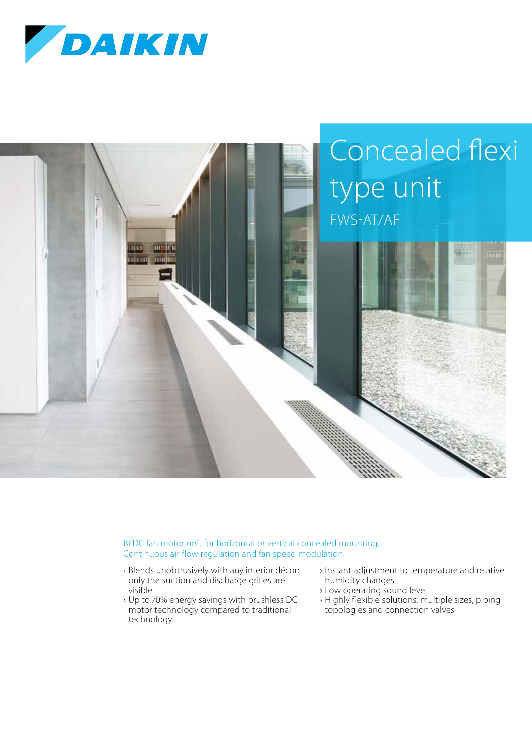



BLDC fan motor unit for horizontal or vertical concealed mounting. Continuous air flow regulation and fan speed modulation.

- › Blends unobtrusively with any interior décor: only the suction and discharge grilles are visible
- › Up to 70% energy savings with brushless DC motor technology compared to traditional technology
- › Instant adjustment to temperature and relative humidity changes
- › Low operating sound level
- › Highly flexible solutions: multiple sizes, piping topologies and connection valves